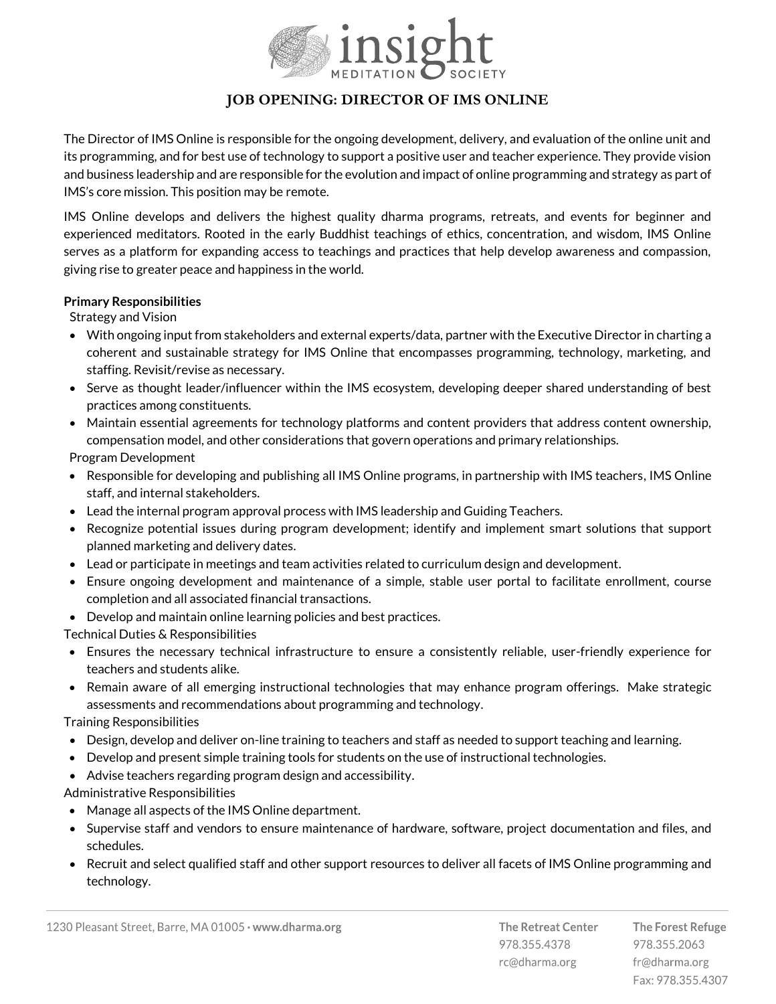

## **JOB OPENING: DIRECTOR OF IMS ONLINE**

The Director of IMS Online is responsible for the ongoing development, delivery, and evaluation of the online unit and its programming, and for best use of technology to support a positive user and teacher experience. They provide vision and business leadership and are responsible for the evolution and impact of online programming and strategy as part of IMS's core mission. This position may be remote.

IMS Online develops and delivers the highest quality dharma programs, retreats, and events for beginner and experienced meditators. Rooted in the early Buddhist teachings of ethics, concentration, and wisdom, IMS Online serves as a platform for expanding access to teachings and practices that help develop awareness and compassion, giving rise to greater peace and happiness in the world.

## **Primary Responsibilities**

Strategy and Vision

- With ongoing input from stakeholders and external experts/data, partner with the Executive Director in charting a coherent and sustainable strategy for IMS Online that encompasses programming, technology, marketing, and staffing. Revisit/revise as necessary.
- Serve as thought leader/influencer within the IMS ecosystem, developing deeper shared understanding of best practices among constituents.
- Maintain essential agreements for technology platforms and content providers that address content ownership, compensation model, and other considerations that govern operations and primary relationships.

Program Development

- Responsible for developing and publishing all IMS Online programs, in partnership with IMS teachers, IMS Online staff, and internal stakeholders.
- Lead the internal program approval process with IMS leadership and Guiding Teachers.
- Recognize potential issues during program development; identify and implement smart solutions that support planned marketing and delivery dates.
- Lead or participate in meetings and team activities related to curriculum design and development.
- Ensure ongoing development and maintenance of a simple, stable user portal to facilitate enrollment, course completion and all associated financial transactions.
- Develop and maintain online learning policies and best practices.

Technical Duties & Responsibilities

- Ensures the necessary technical infrastructure to ensure a consistently reliable, user-friendly experience for teachers and students alike.
- Remain aware of all emerging instructional technologies that may enhance program offerings. Make strategic assessments and recommendations about programming and technology.

Training Responsibilities

- Design, develop and deliver on-line training to teachers and staff as needed to support teaching and learning.
- Develop and present simple training tools for students on the use of instructional technologies.
- Advise teachers regarding program design and accessibility.

Administrative Responsibilities

- Manage all aspects of the IMS Online department.
- Supervise staff and vendors to ensure maintenance of hardware, software, project documentation and files, and schedules.
- Recruit and select qualified staff and other support resources to deliver all facets of IMS Online programming and technology.